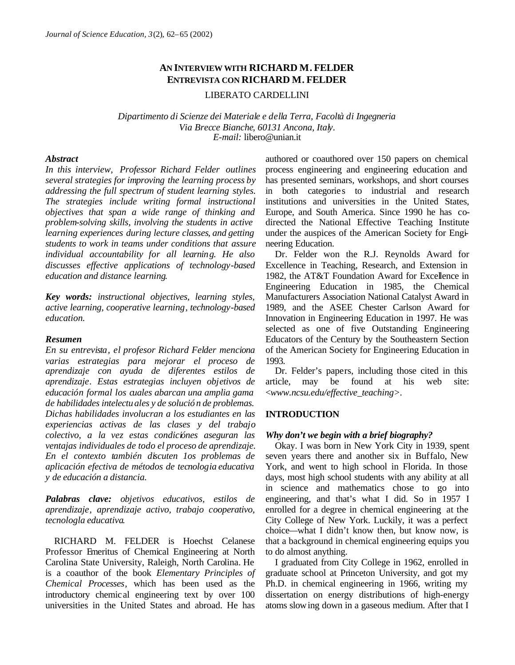# **AN INTERVIEW WITH RICHARD M. FELDER ENTREVISTA CON RICHARD M. FELDER**

LIBERATO CARDELLINI

*Dipartimento di Scienze dei Materiale e della Terra, Facoltà di Ingegneria Via Brecce Bianche, 60131 Ancona, Italy. E-mail:* libero@unian.it

## *Abstract*

*In this interview, Professor Richard Felder outlines several strategies for improving the learning process by addressing the full spectrum of student learning styles. The strategies include writing formal instructional objectives that span a wide range of thinking and problem-solving skills, involving the students in active learning experiences during lecture classes, and getting students to work in teams under conditions that assure individual accountability for all learning. He also discusses effective applications of technology-based education and distance learning.*

*Key words: instructional objectives, learning styles, active learning, cooperative learning, technology-based education.*

## *Resumen*

*En su entrevista, el profesor Richard Felder menciona varias estrategias para mejorar el proceso de aprendizaje con ayuda de diferentes estilos de aprendizaje. Estas estrategias incluyen objetivos de educación formal los cuales abarcan una amplia gama de habilidades intelectuales y de solució n de problemas. Dichas habilidades involucran a los estudiantes en las experiencias activas de las clases y del trabajo colectivo, a la vez estas condiciónes aseguran las ventajas individuales de todo el proceso de aprendizaje. En el contexto también discuten 1os problemas de aplicación efectiva de métodos de tecnologia educativa y de educación a distancia.*

*Palabras clave: objetivos educativos, estilos de aprendizaje, aprendizaje activo, trabajo cooperativo, tecnologla educativa.*

RICHARD M. FELDER is Hoechst Celanese Professor Emeritus of Chemical Engineering at North Carolina State University, Raleigh, North Carolina. He is a coauthor of the book *Elementary Principles of Chemical Processes,* which has been used as the introductory chemic al engineering text by over 100 universities in the United States and abroad. He has

authored or coauthored over 150 papers on chemical process engineering and engineering education and has presented seminars, workshops, and short courses in both categories to industrial and research institutions and universities in the United States, Europe, and South America. Since 1990 he has codirected the National Effective Teaching Institute under the auspices of the American Society for Engineering Education.

Dr. Felder won the R.J. Reynolds Award for Excellence in Teaching, Research, and Extension in 1982, the AT&T Foundation Award for Excellence in Engineering Education in 1985, the Chemical Manufacturers Association National Catalyst Award in 1989, and the ASEE Chester Carlson Award for Innovation in Engineering Education in 1997. He was selected as one of five Outstanding Engineering Educators of the Century by the Southeastern Section of the American Society for Engineering Education in 1993.

Dr. Felder's papers, including those cited in this article, may be found at his web site: <*www.ncsu.edu/effective\_teaching>.*

# **INTRODUCTION**

## *Why don't we begin with a brief biography?*

Okay. I was born in New York City in 1939, spent seven years there and another six in Buffalo, New York, and went to high school in Florida. In those days, most high school students with any ability at all in science and mathematics chose to go into engineering, and that's what I did. So in 1957 I enrolled for a degree in chemical engineering at the City College of New York. Luckily, it was a perfect choice*—*what I didn't know then, but know now, is that a background in chemical engineering equips you to do almost anything.

I graduated from City College in 1962, enrolled in graduate school at Princeton University, and got my Ph.D. in chemical engineering in 1966, writing my dissertation on energy distributions of high-energy atoms slowing down in a gaseous medium. After that I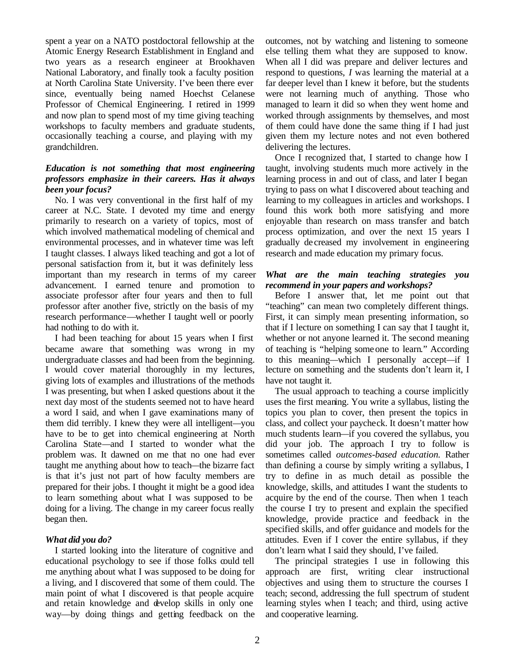spent a year on a NATO postdoctoral fellowship at the Atomic Energy Research Establishment in England and two years as a research engineer at Brookhaven National Laboratory, and finally took a faculty position at North Carolina State University. I've been there ever since, eventually being named Hoechst Celanese Professor of Chemical Engineering. I retired in 1999 and now plan to spend most of my time giving teaching workshops to faculty members and graduate students, occasionally teaching a course, and playing with my grandchildren.

## *Education is not something that most engineering professors emphasize in their careers. Has it always been your focus?*

No. I was very conventional in the first half of my career at N.C. State. I devoted my time and energy primarily to research on a variety of topics, most of which involved mathematical modeling of chemical and environmental processes, and in whatever time was left I taught classes. I always liked teaching and got a lot of personal satisfaction from it, but it was definitely less important than my research in terms of my career advancement. I earned tenure and promotion to associate professor after four years and then to full professor after another five, strictly on the basis of my research performance—whether I taught well or poorly had nothing to do with it.

I had been teaching for about 15 years when I first became aware that something was wrong in my undergraduate classes and had been from the beginning. I would cover material thoroughly in my lectures, giving lots of examples and illustrations of the methods I was presenting, but when I asked questions about it the next day most of the students seemed not to have heard a word I said, and when I gave examinations many of them did terribly. I knew they were all intelligent*—*you have to be to get into chemical engineering at North Carolina State*—*and I started to wonder what the problem was. It dawned on me that no one had ever taught me anything about how to teach*—*the bizarre fact is that it's just not part of how faculty members are prepared for their jobs. I thought it might be a good idea to learn something about what I was supposed to be doing for a living. The change in my career focus really began then.

## *What did you do?*

I started looking into the literature of cognitive and educational psychology to see if those folks could tell me anything about what I was supposed to be doing for a living, and I discovered that some of them could. The main point of what I discovered is that people acquire and retain knowledge and develop skills in only one way—by doing things and getting feedback on the outcomes, not by watching and listening to someone else telling them what they are supposed to know. When all I did was prepare and deliver lectures and respond to questions, *I* was learning the material at a far deeper level than I knew it before, but the students were not learning much of anything. Those who managed to learn it did so when they went home and worked through assignments by themselves, and most of them could have done the same thing if I had just given them my lecture notes and not even bothered delivering the lectures.

Once I recognized that, I started to change how I taught, involving students much more actively in the learning process in and out of class, and later I began trying to pass on what I discovered about teaching and learning to my colleagues in articles and workshops. I found this work both more satisfying and more enjoyable than research on mass transfer and batch process optimization, and over the next 15 years I gradually de creased my involvement in engineering research and made education my primary focus.

## *What are the main teaching strategies you recommend in your papers and workshops?*

Before I answer that, let me point out that "teaching" can mean two completely different things. First, it can simply mean presenting information, so that if I lecture on something I can say that I taught it, whether or not anyone learned it. The second meaning of teaching is "helping someone to learn." According to this meaning*—*which I personally accept*—*if I lecture on something and the students don't learn it, I have not taught it.

The usual approach to teaching a course implicitly uses the first meaning. You write a syllabus, listing the topics you plan to cover, then present the topics in class, and collect your paycheck. It doesn't matter how much students learn*—*if you covered the syllabus, you did your job. The approach I try to follow is sometimes called *outcomes-based education.* Rather than defining a course by simply writing a syllabus, I try to define in as much detail as possible the knowledge, skills, and attitudes I want the students to acquire by the end of the course. Then when 1 teach the course I try to present and explain the specified knowledge, provide practice and feedback in the specified skills, and offer guidance and models for the attitudes. Even if I cover the entire syllabus, if they don't learn what I said they should, I've failed.

The principal strategies I use in following this approach are first, writing clear instructional objectives and using them to structure the courses I teach; second, addressing the full spectrum of student learning styles when I teach; and third, using active and cooperative learning.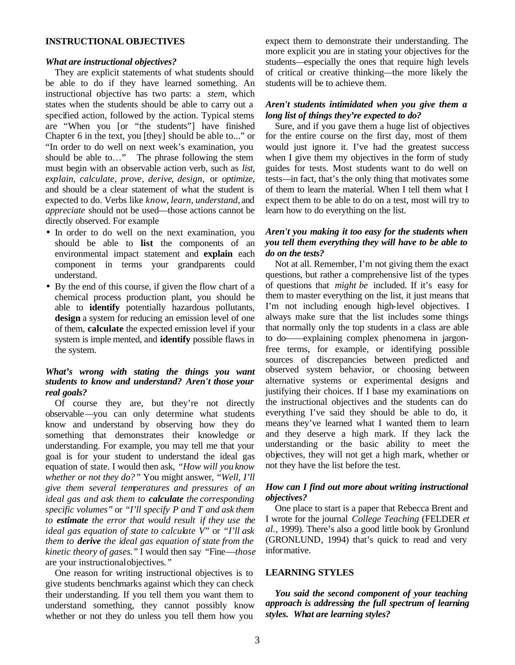### **INSTRUCTIONAL OBJECTIVES**

### *What are instructional objectives?*

They are explicit statements of what students should be able to do if they have learned something. An instructional objective has two parts: a *stem,* which states when the students should be able to carry out a specified action, followed by the action. Typical stems are "When you [or "the students"] have finished Chapter 6 in the text, you [they] should be able to..." or "In order to do well on next week's examination, you should be able to…" The phrase following the stem must begin with an observable action verb, such as *list, explain, calculate, prove, derive, design,* or *optimize,*  and should be a clear statement of what the student is expected to do. Verbs like *know*, *learn*, *understand*, and *appreciate* should not be used—those actions cannot be directly observed. For example

- In order to do well on the next examination, you should be able to **list** the components of an environmental impact statement and **explain** each component in terms your grandparents could understand.
- By the end of this course, if given the flow chart of a chemical process production plant, you should be able to **identify** potentially hazardous pollutants, design a system for reducing an emission level of one of them, **calculate** the expected emission level if your system is imple mented, and **identify** possible flaws in the system.

## *What's wrong with stating the things you want students to know and understand? Aren't those your real goals?*

Of course they are, but they're not directly observable*—*you can only determine what students know and understand by observing how they do something that demonstrates their knowledge or understanding. For example, you may tell me that your goal is for your student to understand the ideal gas equation of state. I would then ask, *"How will you know whether or not they do?"* You might answer, *"Well, I'll give them several temperatures and pressures of an ideal gas and ask them to calculate the corresponding specific volumes"* or *"I'll specify P and T and ask them to estimate the error that would result if they use the ideal gas equation of state to calculate V"* or *"I'll ask them to derive the ideal gas equation of state from the kinetic theory of gases."* I would then say *"*Fine—*those* are your instructional objectives*."*

One reason for writing instructional objectives is to give students benchmarks against which they can check their understanding. If you tell them you want them to understand something, they cannot possibly know whether or not they do unless you tell them how you expect them to demonstrate their understanding. The more explicit you are in stating your objectives for the students*—*especially the ones that require high levels of critical or creative thinking*—*the more likely the students will be to achieve them.

## *Aren't students intimidated when you give them a long list of things they're expected to do?*

Sure, and if you gave them a huge list of objectives for the entire course on the first day, most of them would just ignore it. I've had the greatest success when I give them my objectives in the form of study guides for tests. Most students want to do well on tests*—*in fact, that's the only thing that motivates some of them to learn the material. When I tell them what I expect them to be able to do on a test, most will try to learn how to do everything on the list.

## *Aren't you making it too easy for the students when you tell them everything they will have to be able to do on the tests?*

Not at all. Remember, I'm not giving them the exact questions, but rather a comprehensive list of the types of questions that *might be* included. If it's easy for them to master everything on the list, it just means that I'm not including enough high-level objectives. I always make sure that the list includes some things that normally only the top students in a class are able to do*—*—explaining complex phenomena in jargonfree terms, for example, or identifying possible sources of discrepancies between predicted and observed system behavior, or choosing between alternative systems or experimental designs and justifying their choices. If I base my examinations on the instructional objectives and the students can do everything I've said they should be able to do, it means they've learned what I wanted them to learn and they deserve a high mark. If they lack the understanding or the basic ability to meet the objectives, they will not get a high mark, whether or not they have the list before the test.

## *How can I find out more about writing instructional objectives?*

One place to start is a paper that Rebecca Brent and I wrote for the journal *College Teaching* (FELDER *et al.,* 1999). There's also a good little book by Gronlund (GRONLUND, 1994) that's quick to read and very informative.

### **LEARNING STYLES**

*You said the second component of your teaching approach is addressing the full spectrum of learning styles. What are learning styles?*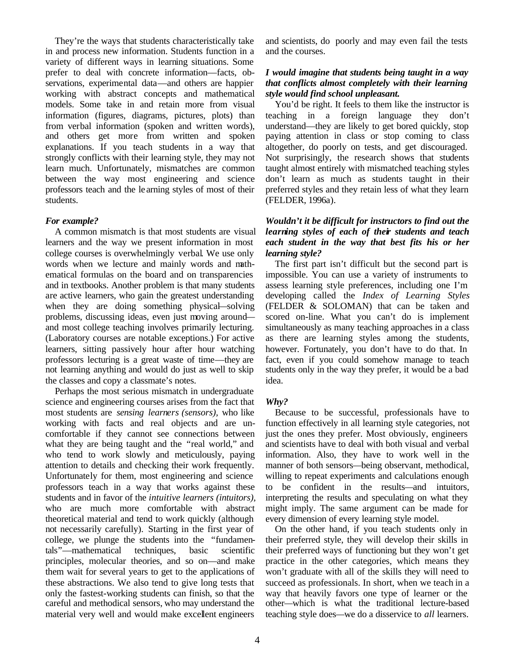They're the ways that students characteristically take in and process new information. Students function in a variety of different ways in learning situations. Some prefer to deal with concrete information—facts, observations, experimental data—and others are happier working with abstract concepts and mathematical models. Some take in and retain more from visual information (figures, diagrams, pictures, plots) than from verbal information (spoken and written words), and others get more from written and spoken explanations. If you teach students in a way that strongly conflicts with their learning style, they may not learn much. Unfortunately, mismatches are common between the way most engineering and science professors teach and the le arning styles of most of their students.

## *For example?*

A common mismatch is that most students are visual learners and the way we present information in most college courses is overwhelmingly verbal. We use only words when we lecture and mainly words and mathematical formulas on the board and on transparencies and in textbooks. Another problem is that many students are active learners, who gain the greatest understanding when they are doing something physical*—*solving problems, discussing ideas, even just moving around and most college teaching involves primarily lecturing. (Laboratory courses are notable exceptions.) For active learners, sitting passively hour after hour watching professors lecturing is a great waste of time—they are not learning anything and would do just as well to skip the classes and copy a classmate's notes.

Perhaps the most serious mismatch in undergraduate science and engineering courses arises from the fact that most students are *sensing learners (sensors),* who like working with facts and real objects and are uncomfortable if they cannot see connections between what they are being taught and the "real world," and who tend to work slowly and meticulously, paying attention to details and checking their work frequently. Unfortunately for them, most engineering and science professors teach in a way that works against these students and in favor of the *intuitive learners (intuitors),* who are much more comfortable with abstract theoretical material and tend to work quickly (although not necessarily carefully). Starting in the first year of college, we plunge the students into the "fundamentals"—mathematical techniques, basic scientific principles, molecular theories, and so on—and make them wait for several years to get to the applications of these abstractions. We also tend to give long tests that only the fastest-working students can finish, so that the careful and methodical sensors, who may understand the material very well and would make excellent engineers

and scientists, do poorly and may even fail the tests and the courses.

## *I would imagine that students being taught in a way that conflicts almost completely with their learning style would find school unpleasant.*

You'd be right. It feels to them like the instructor is teaching in a foreign language they don't understand—they are likely to get bored quickly, stop paying attention in class or stop coming to class altogether, do poorly on tests, and get discouraged. Not surprisingly, the research shows that students taught almost entirely with mismatched teaching styles don't learn as much as students taught in their preferred styles and they retain less of what they learn (FELDER, 1996a).

## *Wouldn't it be difficult for instructors to find out the learning styles of each of their students and teach each student in the way that best fits his or her learning style?*

The first part isn't difficult but the second part is impossible. You can use a variety of instruments to assess learning style preferences, including one I'm developing called the *Index of Learning Styles* (FELDER & SOLOMAN) that can be taken and scored on-line. What you can't do is implement simultaneously as many teaching approaches in a class as there are learning styles among the students, however. Fortunately, you don't have to do that. In fact, even if you could somehow manage to teach students only in the way they prefer, it would be a bad idea.

### *Why?*

Because to be successful, professionals have to function effectively in all learning style categories, not just the ones they prefer. Most obviously, engineers and scientists have to deal with both visual and verbal information. Also, they have to work well in the manner of both sensors*—*being observant, methodical, willing to repeat experiments and calculations enough to be confident in the results*—*and intuitors, interpreting the results and speculating on what they might imply. The same argument can be made for every dimension of every learning style model.

On the other hand, if you teach students only in their preferred style, they will develop their skills in their preferred ways of functioning but they won't get practice in the other categories, which means they won't graduate with all of the skills they will need to succeed as professionals. In short, when we teach in a way that heavily favors one type of learner or the other*—*which is what the traditional lecture-based teaching style does*—*we do a disservice to *all* learners.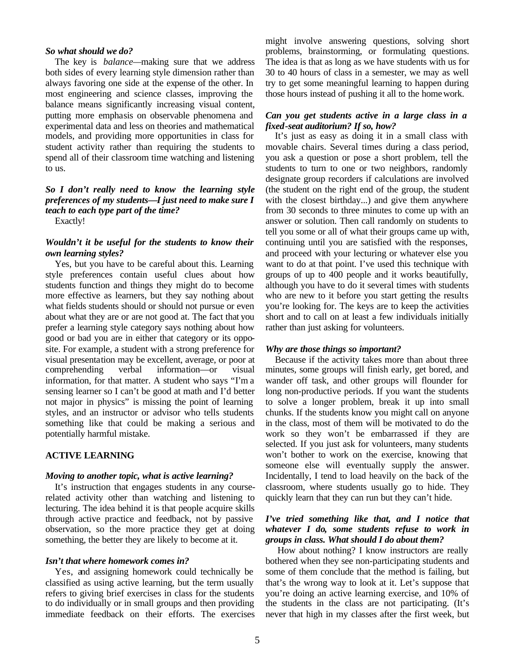### *So what should we do?*

The key is *balance—*making sure that we address both sides of every learning style dimension rather than always favoring one side at the expense of the other. In most engineering and science classes, improving the balance means significantly increasing visual content, putting more emphasis on observable phenomena and experimental data and less on theories and mathematical models, and providing more opportunities in class for student activity rather than requiring the students to spend all of their classroom time watching and listening to us.

## *So I don't really need to know the learning style preferences of my students—I just need to make sure I teach to each type part of the time?*

Exactly!

## *Wouldn't it be useful for the students to know their own learning styles?*

Yes, but you have to be careful about this. Learning style preferences contain useful clues about how students function and things they might do to become more effective as learners, but they say nothing about what fields students should or should not pursue or even about what they are or are not good at. The fact that you prefer a learning style category says nothing about how good or bad you are in either that category or its opposite. For example, a student with a strong preference for visual presentation may be excellent, average, or poor at comprehending verbal information—or visual information, for that matter. A student who says "I'm a sensing learner so I can't be good at math and I'd better not major in physics" is missing the point of learning styles, and an instructor or advisor who tells students something like that could be making a serious and potentially harmful mistake.

### **ACTIVE LEARNING**

### *Moving to another topic, what is active learning?*

It's instruction that engages students in any courserelated activity other than watching and listening to lecturing. The idea behind it is that people acquire skills through active practice and feedback, not by passive observation, so the more practice they get at doing something, the better they are likely to become at it.

#### *Isn't that where homework comes in?*

Yes, and assigning homework could technically be classified as using active learning, but the term usually refers to giving brief exercises in class for the students to do individually or in small groups and then providing immediate feedback on their efforts. The exercises might involve answering questions, solving short problems, brainstorming, or formulating questions. The idea is that as long as we have students with us for 30 to 40 hours of class in a semester, we may as well try to get some meaningful learning to happen during those hours instead of pushing it all to the homework.

## *Can you get students active in a large class in a fixed-seat auditorium? If so, how?*

It's just as easy as doing it in a small class with movable chairs. Several times during a class period, you ask a question or pose a short problem, tell the students to turn to one or two neighbors, randomly designate group recorders if calculations are involved (the student on the right end of the group, the student with the closest birthday...) and give them anywhere from 30 seconds to three minutes to come up with an answer or solution. Then call randomly on students to tell you some or all of what their groups came up with, continuing until you are satisfied with the responses, and proceed with your lecturing or whatever else you want to do at that point. I've used this technique with groups of up to 400 people and it works beautifully, although you have to do it several times with students who are new to it before you start getting the results you're looking for. The keys are to keep the activities short and to call on at least a few individuals initially rather than just asking for volunteers.

#### *Why are those things so important?*

Because if the activity takes more than about three minutes, some groups will finish early, get bored, and wander off task, and other groups will flounder for long non-productive periods. If you want the students to solve a longer problem, break it up into small chunks. If the students know you might call on anyone in the class, most of them will be motivated to do the work so they won't be embarrassed if they are selected. If you just ask for volunteers, many students won't bother to work on the exercise, knowing that someone else will eventually supply the answer. Incidentally, I tend to load heavily on the back of the classroom, where students usually go to hide. They quickly learn that they can run but they can't hide.

## *I've tried something like that, and I notice that whatever I do, some students refuse to work in groups in class. What should I do about them?*

How about nothing? I know instructors are really bothered when they see non-participating students and some of them conclude that the method is failing, but that's the wrong way to look at it. Let's suppose that you're doing an active learning exercise, and 10% of the students in the class are not participating. (It's never that high in my classes after the first week, but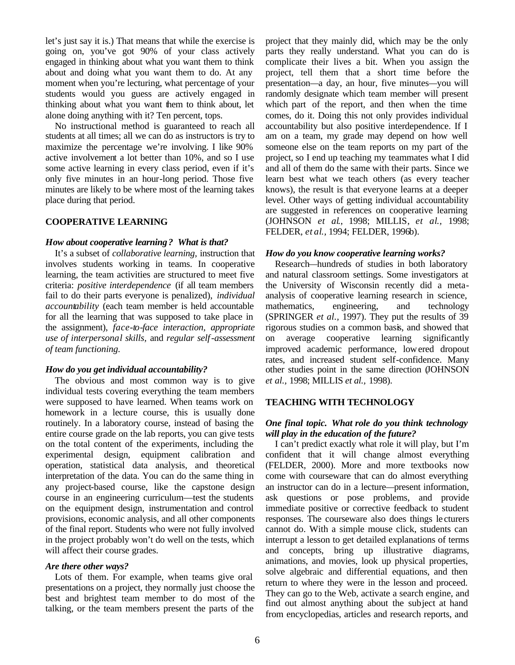let's just say it is.) That means that while the exercise is going on, you've got 90% of your class actively engaged in thinking about what you want them to think about and doing what you want them to do. At any moment when you're lecturing, what percentage of your students would you guess are actively engaged in thinking about what you want them to think about, let alone doing anything with it? Ten percent, tops.

No instructional method is guaranteed to reach all students at all times; all we can do as instructors is try to maximize the percentage we're involving. I like 90% active involvement a lot better than 10%, and so I use some active learning in every class period, even if it's only five minutes in an hour-long period. Those five minutes are likely to be where most of the learning takes place during that period.

#### **COOPERATIVE LEARNING**

### *How about cooperative learning? What is that?*

It's a subset of *collaborative learning,* instruction that involves students working in teams. In cooperative learning, the team activities are structured to meet five criteria: *positive interdependence* (if all team members fail to do their parts everyone is penalized), *individual accountability* (each team member is held accountable for all the learning that was supposed to take place in the assignment), *face-to-face interaction, appropriate use of interpersonal skills,* and *regular self-assessment of team functioning.*

#### *How do you get individual accountability?*

The obvious and most common way is to give individual tests covering everything the team members were supposed to have learned. When teams work on homework in a lecture course, this is usually done routinely. In a laboratory course, instead of basing the entire course grade on the lab reports, you can give tests on the total content of the experiments, including the experimental design, equipment calibration and operation, statistical data analysis, and theoretical interpretation of the data. You can do the same thing in any project-based course, like the capstone design course in an engineering curriculum—test the students on the equipment design, instrumentation and control provisions, economic analysis, and all other components of the final report. Students who were not fully involved in the project probably won't do well on the tests, which will affect their course grades.

#### *Are there other ways?*

Lots of them. For example, when teams give oral presentations on a project, they normally just choose the best and brightest team member to do most of the talking, or the team members present the parts of the project that they mainly did, which may be the only parts they really understand. What you can do is complicate their lives a bit. When you assign the project, tell them that a short time before the presentation*—*a day, an hour, five minutes*—*you will randomly designate which team member will present which part of the report, and then when the time comes, do it. Doing this not only provides individual accountability but also positive interdependence. If I am on a team, my grade may depend on how well someone else on the team reports on my part of the project, so I end up teaching my teammates what I did and all of them do the same with their parts. Since we learn best what we teach others (as every teacher knows), the result is that everyone learns at a deeper level. Other ways of getting individual accountability are suggested in references on cooperative learning (JOHNSON *et al*., 1998; MILLIS, *et al.,* 1998; FELDER, *et al.,* 1994; FELDER, 1996b).

#### *How do you know cooperative learning works?*

Research*—*hundreds of studies in both laboratory and natural classroom settings. Some investigators at the University of Wisconsin recently did a metaanalysis of cooperative learning research in science, mathematics, engineering, and technology (SPRINGER *et al.,* 1997). They put the results of 39 rigorous studies on a common basis, and showed that on average cooperative learning significantly improved academic performance, lowered dropout rates, and increased student self-confidence. Many other studies point in the same direction (JOHNSON *et al.,* 1998; MILLIS *et al.,* 1998).

## **TEACHING WITH TECHNOLOGY**

### *One final topic. What role do you think technology will play in the education of the future?*

I can't predict exactly what role it will play, but I'm confident that it will change almost everything (FELDER, 2000). More and more textbooks now come with courseware that can do almost everything an instructor can do in a lecture*—*present information, ask questions or pose problems, and provide immediate positive or corrective feedback to student responses. The courseware also does things le cturers cannot do. With a simple mouse click, students can interrupt a lesson to get detailed explanations of terms and concepts, bring up illustrative diagrams, animations, and movies, look up physical properties, solve algebraic and differential equations, and then return to where they were in the lesson and proceed. They can go to the Web, activate a search engine, and find out almost anything about the subject at hand from encyclopedias, articles and research reports, and